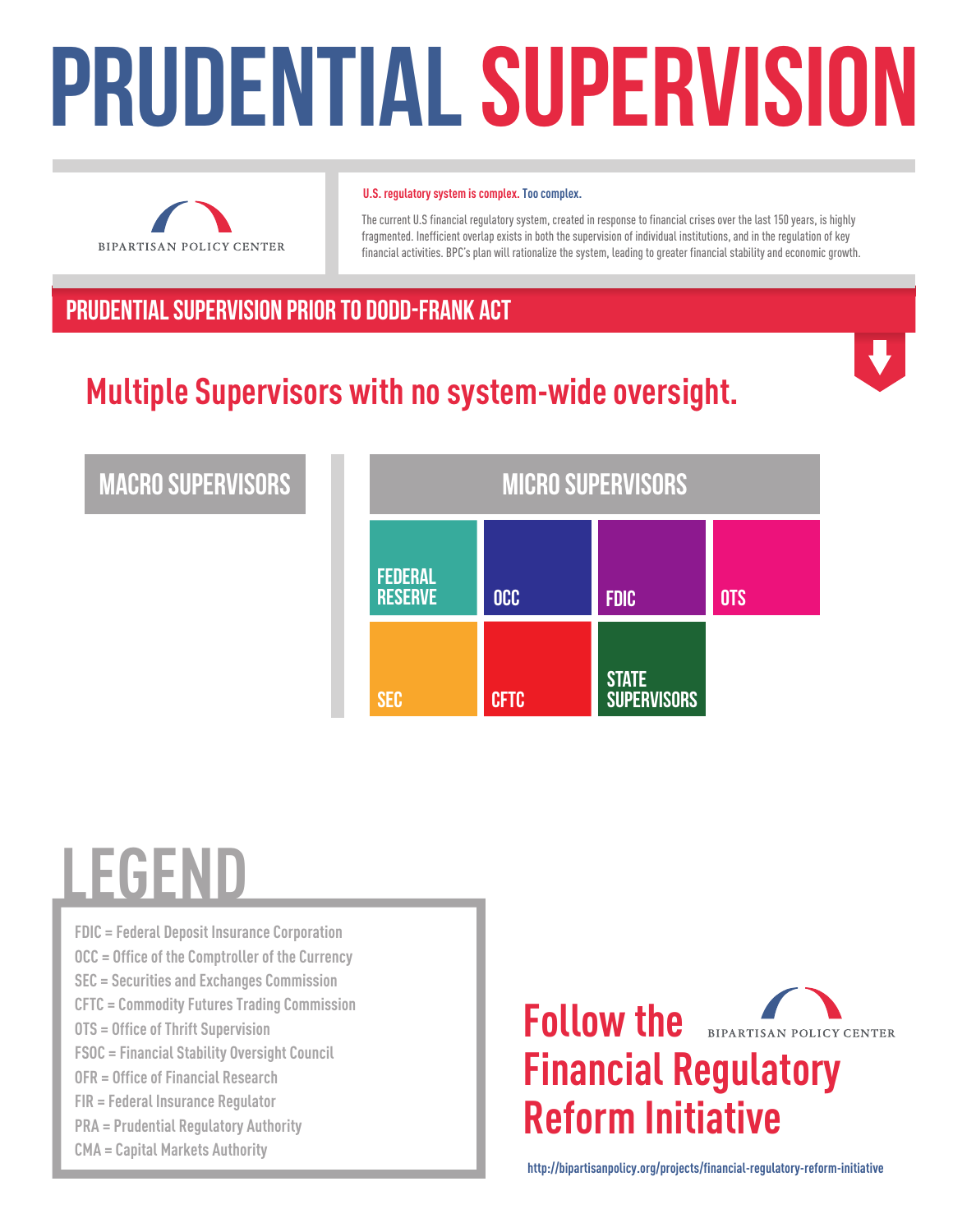# PRUDENTIAL SUPERVISION



#### **U.S. regulatory system is complex. Too complex.**

The current U.S financial regulatory system, created in response to financial crises over the last 150 years, is highly fragmented. Inefficient overlap exists in both the supervision of individual institutions, and in the regulation of key financial activities. BPC's plan will rationalize the system, leading to greater financial stability and economic growth.

#### PRUDENTIAL SUPERVISION Prior to Dodd-Frank Act

## **Multiple Supervisors with no system-wide oversight.**



#### Macro Supervisors

| <b>MICRO SUPERVISORS</b>         |             |                                    |            |
|----------------------------------|-------------|------------------------------------|------------|
| <b>FEDERAL</b><br><b>RESERVE</b> | <b>OCC</b>  | <b>FDIC</b>                        | <b>OTS</b> |
| <b>SEC</b>                       | <b>CFTC</b> | <b>STATE</b><br><b>SUPERVISORS</b> |            |

# **LEGEND**

**FDIC = Federal Deposit Insurance Corporation OCC = Office of the Comptroller of the Currency SEC = Securities and Exchanges Commission CFTC = Commodity Futures Trading Commission OTS = Office of Thrift Supervision FSOC = Financial Stability Oversight Council OFR = Office of Financial Research FIR = Federal Insurance Regulator PRA = Prudential Regulatory Authority CMA = Capital Markets Authority**



**http://bipartisanpolicy.org/projects/financial-regulatory-reform-initiative**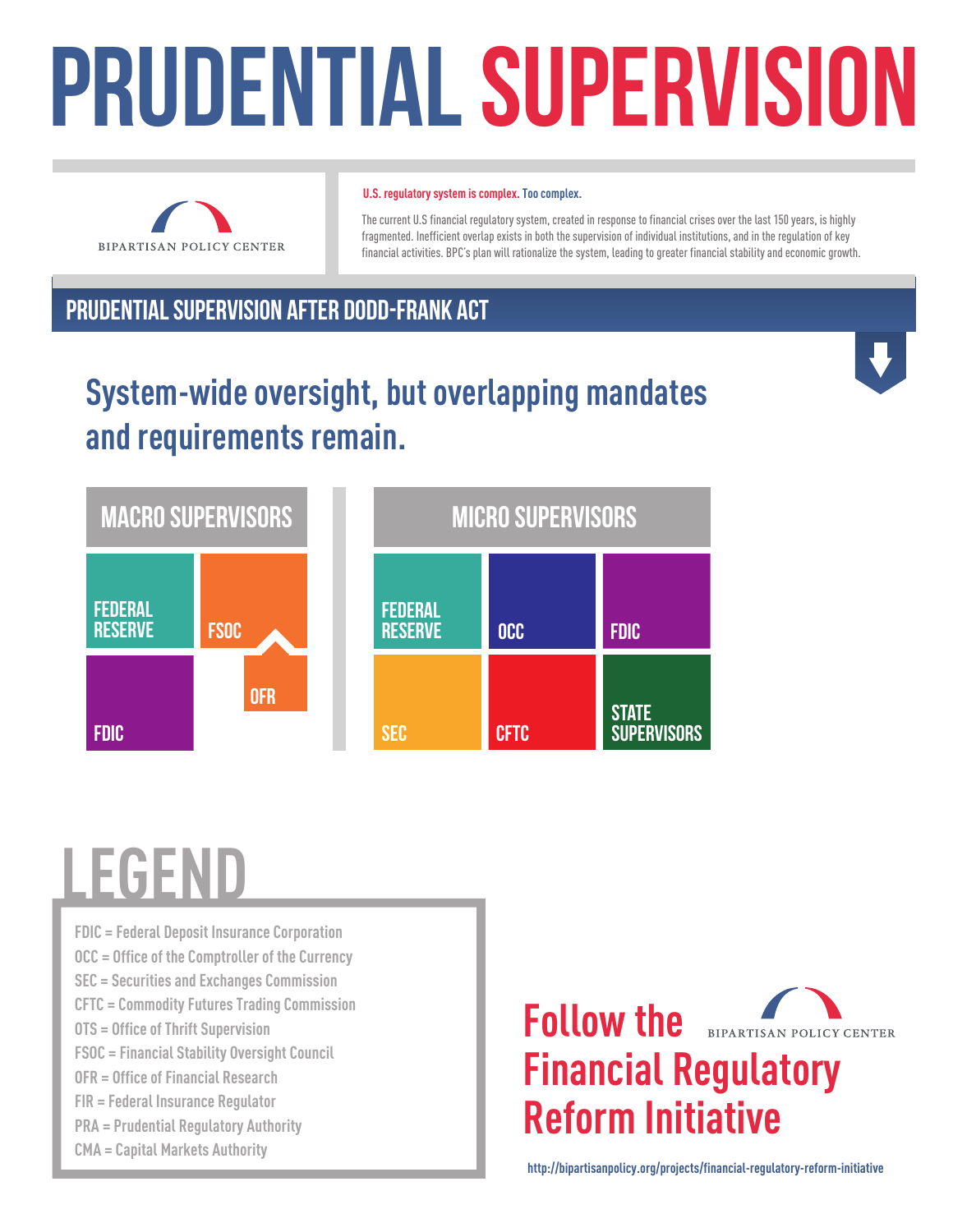# PRUDENTIAL SUPERVISION



#### **U.S. regulatory system is complex. Too complex.**

The current U.S financial regulatory system, created in response to financial crises over the last 150 years, is highly fragmented. Inefficient overlap exists in both the supervision of individual institutions, and in the regulation of key financial activities. BPC's plan will rationalize the system, leading to greater financial stability and economic growth.

#### PRUDENTIAL SUPERVISION AFTER Dodd-Frank Act

### **System-wide oversight, but overlapping mandates and requirements remain.**



# **LEGEND**

**FDIC = Federal Deposit Insurance Corporation OCC = Office of the Comptroller of the Currency SEC = Securities and Exchanges Commission CFTC = Commodity Futures Trading Commission OTS = Office of Thrift Supervision FSOC = Financial Stability Oversight Council OFR = Office of Financial Research FIR = Federal Insurance Regulator PRA = Prudential Regulatory Authority CMA = Capital Markets Authority**



**http://bipartisanpolicy.org/projects/financial-regulatory-reform-initiative**